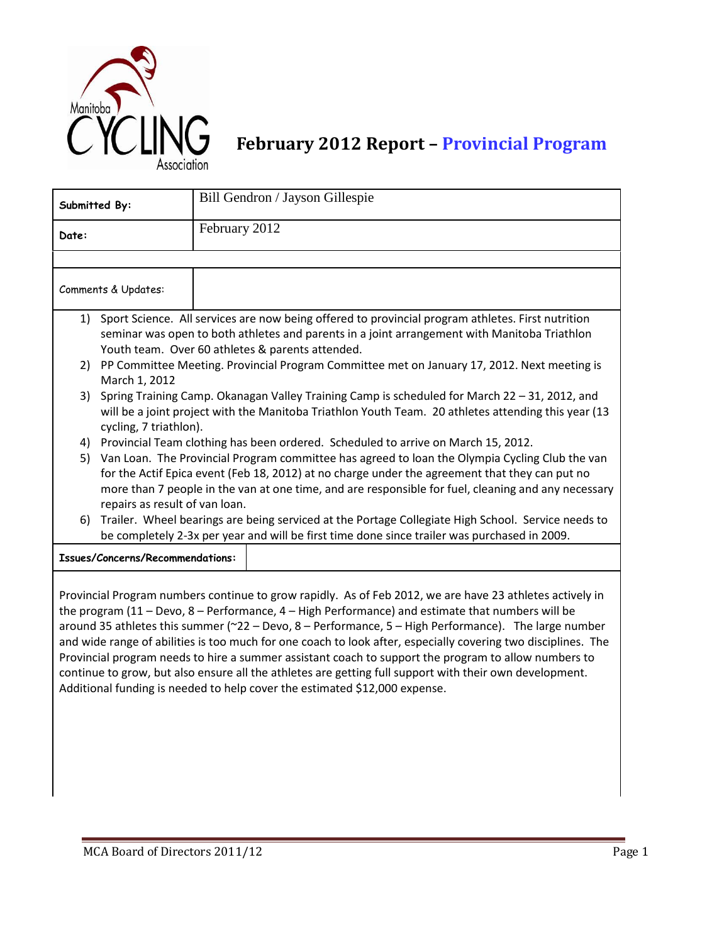

## **February 2012 Report – Provincial Program**

| Submitted By:       |                                                                                                                                                                                                                                                                                                                                           | Bill Gendron / Jayson Gillespie                                                                                                                                                                                                                                                                                                                                         |  |  |  |  |
|---------------------|-------------------------------------------------------------------------------------------------------------------------------------------------------------------------------------------------------------------------------------------------------------------------------------------------------------------------------------------|-------------------------------------------------------------------------------------------------------------------------------------------------------------------------------------------------------------------------------------------------------------------------------------------------------------------------------------------------------------------------|--|--|--|--|
| Date:               |                                                                                                                                                                                                                                                                                                                                           | February 2012                                                                                                                                                                                                                                                                                                                                                           |  |  |  |  |
|                     |                                                                                                                                                                                                                                                                                                                                           |                                                                                                                                                                                                                                                                                                                                                                         |  |  |  |  |
| Comments & Updates: |                                                                                                                                                                                                                                                                                                                                           |                                                                                                                                                                                                                                                                                                                                                                         |  |  |  |  |
| 1)                  |                                                                                                                                                                                                                                                                                                                                           | Sport Science. All services are now being offered to provincial program athletes. First nutrition                                                                                                                                                                                                                                                                       |  |  |  |  |
|                     | seminar was open to both athletes and parents in a joint arrangement with Manitoba Triathlon<br>Youth team. Over 60 athletes & parents attended.                                                                                                                                                                                          |                                                                                                                                                                                                                                                                                                                                                                         |  |  |  |  |
| 2)                  | PP Committee Meeting. Provincial Program Committee met on January 17, 2012. Next meeting is                                                                                                                                                                                                                                               |                                                                                                                                                                                                                                                                                                                                                                         |  |  |  |  |
|                     | March 1, 2012                                                                                                                                                                                                                                                                                                                             |                                                                                                                                                                                                                                                                                                                                                                         |  |  |  |  |
| 3)                  | Spring Training Camp. Okanagan Valley Training Camp is scheduled for March $22 - 31$ , 2012, and<br>will be a joint project with the Manitoba Triathlon Youth Team. 20 athletes attending this year (13<br>cycling, 7 triathlon).                                                                                                         |                                                                                                                                                                                                                                                                                                                                                                         |  |  |  |  |
| 4)                  | Provincial Team clothing has been ordered. Scheduled to arrive on March 15, 2012.                                                                                                                                                                                                                                                         |                                                                                                                                                                                                                                                                                                                                                                         |  |  |  |  |
| 5)                  | Van Loan. The Provincial Program committee has agreed to loan the Olympia Cycling Club the van<br>for the Actif Epica event (Feb 18, 2012) at no charge under the agreement that they can put no<br>more than 7 people in the van at one time, and are responsible for fuel, cleaning and any necessary<br>repairs as result of van loan. |                                                                                                                                                                                                                                                                                                                                                                         |  |  |  |  |
| 6)                  |                                                                                                                                                                                                                                                                                                                                           | Trailer. Wheel bearings are being serviced at the Portage Collegiate High School. Service needs to                                                                                                                                                                                                                                                                      |  |  |  |  |
|                     |                                                                                                                                                                                                                                                                                                                                           | be completely 2-3x per year and will be first time done since trailer was purchased in 2009.                                                                                                                                                                                                                                                                            |  |  |  |  |
|                     | Issues/Concerns/Recommendations:                                                                                                                                                                                                                                                                                                          |                                                                                                                                                                                                                                                                                                                                                                         |  |  |  |  |
|                     |                                                                                                                                                                                                                                                                                                                                           | Provincial Program numbers continue to grow rapidly. As of Feb 2012, we are have 23 athletes actively in<br>the program (11 - Devo, $8$ - Performance, $4$ - High Performance) and estimate that numbers will be<br>$\alpha$ of all later this common $\alpha$ ( $\alpha$ 22 $\alpha$ Decesia). Deplomation of $\alpha$ if the Deptomation $\alpha$ of $\pi$ legislates |  |  |  |  |

around 35 athletes this summer (~22 – Devo, 8 – Performance, 5 – High Performance). The large number and wide range of abilities is too much for one coach to look after, especially covering two disciplines. The Provincial program needs to hire a summer assistant coach to support the program to allow numbers to continue to grow, but also ensure all the athletes are getting full support with their own development. Additional funding is needed to help cover the estimated \$12,000 expense.